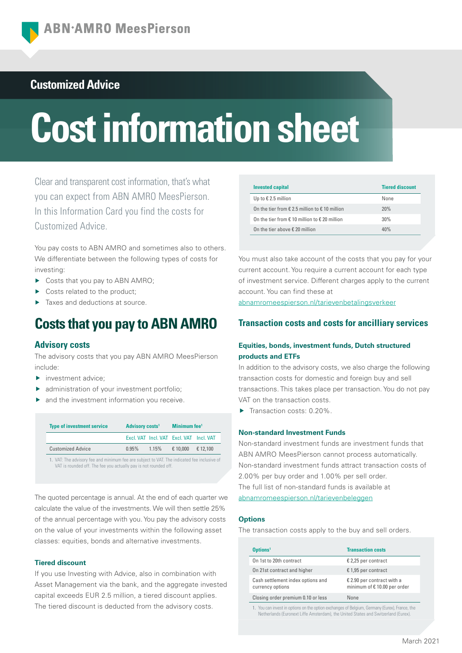## **Customized Advice**

# **Cost information sheet**

Clear and transparent cost information, that's what you can expect from ABN AMRO MeesPierson. In this Information Card you find the costs for Customized Advice.

You pay costs to ABN AMRO and sometimes also to others. We differentiate between the following types of costs for investing:

- ▶ Costs that you pay to ABN AMRO;
- Costs related to the product:
- Taxes and deductions at source.

# **Costs that you pay to ABN AMRO**

#### **Advisory costs**

The advisory costs that you pay ABN AMRO MeesPierson include:

- investment advice;
- ▶ administration of your investment portfolio;
- and the investment information you receive.

| <b>Type of investment service</b>                                                                                                                               | Advisory costs <sup>1</sup> |  | Minimum fee <sup>1</sup>                |          |
|-----------------------------------------------------------------------------------------------------------------------------------------------------------------|-----------------------------|--|-----------------------------------------|----------|
|                                                                                                                                                                 |                             |  | Excl. VAT Incl. VAT Excl. VAT Incl. VAT |          |
| <b>Customized Advice</b>                                                                                                                                        | $0.95\%$ 1.15%              |  | € 10,000                                | € 12.100 |
| 1. VAT: The advisory fee and minimum fee are subject to VAT. The indicated fee inclusive of<br>VAT is rounded off. The fee you actually pay is not rounded off. |                             |  |                                         |          |

The quoted percentage is annual. At the end of each quarter we calculate the value of the investments. We will then settle 25% of the annual percentage with you. You pay the advisory costs on the value of your investments within the following asset classes: equities, bonds and alternative investments.

#### **Tiered discount**

If you use Investing with Advice, also in combination with Asset Management via the bank, and the aggregate invested capital exceeds EUR 2.5 million, a tiered discount applies. The tiered discount is deducted from the advisory costs.

| <b>Invested capital</b>                                          | <b>Tiered discount</b> |
|------------------------------------------------------------------|------------------------|
| Up to $\epsilon$ 2.5 million                                     | None                   |
| On the tier from $\epsilon$ 2.5 million to $\epsilon$ 10 million | 20%                    |
| On the tier from $\epsilon$ 10 million to $\epsilon$ 20 million  | 30%                    |
| On the tier above $\epsilon$ 20 million                          | 40%                    |

You must also take account of the costs that you pay for your current account. You require a current account for each type of investment service. Different charges apply to the current account. You can find these at

[abnamromeespierson.nl/tarievenbetalingsverkeer](https://www.abnamro.nl/nl/privatebanking/betalen/tarieven.html)

## **Transaction costs and costs for ancilliary services**

#### **Equities, bonds, investment funds, Dutch structured products and ETFs**

In addition to the advisory costs, we also charge the following transaction costs for domestic and foreign buy and sell transactions. This takes place per transaction. You do not pay VAT on the transaction costs.

Transaction costs: 0.20%.

#### **Non-standard Investment Funds**

Non-standard investment funds are investment funds that ABN AMRO MeesPierson cannot process automatically. Non-standard investment funds attract transaction costs of 2.00% per buy order and 1.00% per sell order. The full list of non-standard funds is available at [abnamromeespierson.nl/tarievenbeleggen](https://www.abnamro.nl/nl/privatebanking/beleggen/tarieven.html)

#### **Options**

The transaction costs apply to the buy and sell orders.

| Options <sup>1</sup>                                  | <b>Transaction costs</b>                                  |
|-------------------------------------------------------|-----------------------------------------------------------|
| On 1st to 20th contract                               | € 2,25 per contract                                       |
| On 21st contract and higher                           | € 1,95 per contract                                       |
| Cash settlement index options and<br>currency options | € 2.90 per contract with a<br>minimum of €10.00 per order |
| Closing order premium 0.10 or less                    | None                                                      |

1. You can invest in options on the option exchanges of Belgium, Germany (Eurex), France, the Netherlands (Euronext Liffe Amsterdam), the United States and Switzerland (Eurex).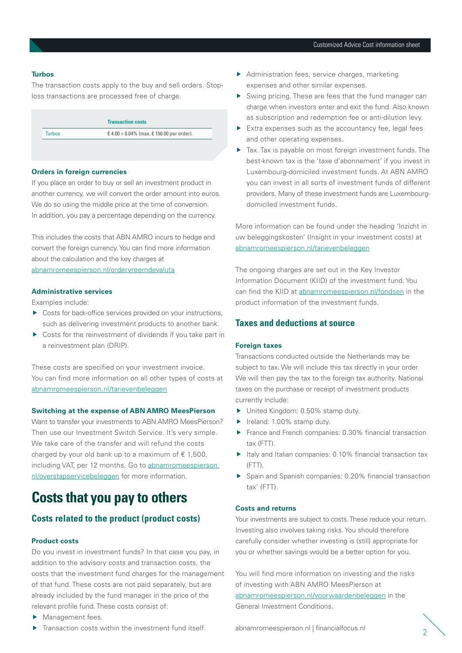#### **Turbos**

The transaction costs apply to the buy and sell orders. Stoploss transactions are processed free of charge.

|               | <b>Transaction costs</b>                  |
|---------------|-------------------------------------------|
| <b>Turbos</b> | € 4.00 + 0.04% (max. € 150.00 per order). |

#### **Orders in foreign currencies**

If you place an order to buy or sell an investment product in another currency, we will convert the order amount into euros. We do so using the middle price at the time of conversion. In addition, you pay a percentage depending on the currency.

This includes the costs that ABN AMRO incurs to hedge and convert the foreign currency. You can find more information about the calculation and the key charges at [abnamromeespierson.nl/ordervreemdevaluta](https://www.abnamro.nl/nl/prive/beleggen/service/beleggingsorders/voorbeeld.html)

## **Administrative services**

Examples include:

- ▶ Costs for back-office services provided on your instructions, such as delivering investment products to another bank.
- ▶ Costs for the reinvestment of dividends if you take part in a reinvestment plan (DRIP).

These costs are specified on your investment invoice. You can find more information on all other types of costs at [abnamromeespierson.nl/tarievenbeleggen](https://www.abnamro.nl/nl/privatebanking/beleggen/tarieven.html)

#### **Switching at the expense of ABN AMRO MeesPierson**

Want to transfer your investments to ABN AMRO MeesPierson? Then use our Investment Switch Service. It's very simple. We take care of the transfer and will refund the costs charged by your old bank up to a maximum of  $\epsilon$  1,500, including VAT, per 12 months. Go to [abnamromeespierson.](https://www.abnamro.nl/nl/prive/beleggen/service/overstapservice-beleggen/index.html?pos=vku_overstapservicebeleggen) [nl/overstapservicebeleggen](https://www.abnamro.nl/nl/prive/beleggen/service/overstapservice-beleggen/index.html?pos=vku_overstapservicebeleggen) for more information.

# **Costs that you pay to others**

## **Costs related to the product (product costs)**

#### **Product costs**

Do you invest in investment funds? In that case you pay, in addition to the advisory costs and transaction costs, the costs that the investment fund charges for the management of that fund. These costs are not paid separately, but are already included by the fund manager in the price of the relevant profile fund. These costs consist of:

- Management fees.
- $\blacktriangleright$  Transaction costs within the investment fund itself.
- Administration fees, service charges, marketing expenses and other similar expenses.
- Swing pricing. These are fees that the fund manager can charge when investors enter and exit the fund. Also known as subscription and redemption fee or anti-dilution levy.
- $\blacktriangleright$  Extra expenses such as the accountancy fee, legal fees and other operating expenses.
- Tax. Tax is payable on most foreign investment funds. The best-known tax is the 'taxe d'abonnement' if you invest in Luxembourg-domiciled investment funds. At ABN AMRO you can invest in all sorts of investment funds of different providers. Many of these investment funds are Luxembourgdomiciled investment funds.

More information can be found under the heading 'Inzicht in uw beleggingskosten' (Insight in your investment costs) at [abnamromeespierson.nl/tarievenbeleggen](https://www.abnamro.nl/nl/privatebanking/beleggen/tarieven.html)

The ongoing charges are set out in the Key Investor Information Document (KIID) of the investment fund. You can find the KIID at [abnamromeespierson.nl/fondsen](https://www.abnamro.nl/nl/prive/beleggen/koersinformatie/beleggingsfondsen.html) in the product information of the investment funds.

#### **Taxes and deductions at source**

#### **Foreign taxes**

Transactions conducted outside the Netherlands may be subject to tax. We will include this tax directly in your order. We will then pay the tax to the foreign tax authority. National taxes on the purchase or receipt of investment products currently include:

- ▶ United Kingdom: 0.50% stamp duty.
- $\blacktriangleright$  Ireland: 1.00% stamp duty.
- France and French companies: 0.30% financial transaction tax (FTT).
- $\blacktriangleright$  Italy and Italian companies: 0.10% financial transaction tax (FTT).
- Spain and Spanish companies: 0.20% financial transaction tax' (FTT).

#### **Costs and returns**

Your investments are subject to costs. These reduce your return. Investing also involves taking risks. You should therefore carefully consider whether investing is (still) appropriate for you or whether savings would be a better option for you.

You will find more information on investing and the risks of investing with ABN AMRO MeesPierson at [abnamromeespierson.nl/voorwaardenbeleggen](https://www.abnamro.nl/nl/prive/beleggen/voorwaarden.html?pos=vku_voorwaardenbeleggen) in the General Investment Conditions.

[abnamromeespierson.nl](https://www.abnamro.nl/nl/privatebanking/index.html?pos=vku_abnamromeespierson) | [financialfocus.nl](https://financialfocus.abnamro.nl/) <sup>2</sup>